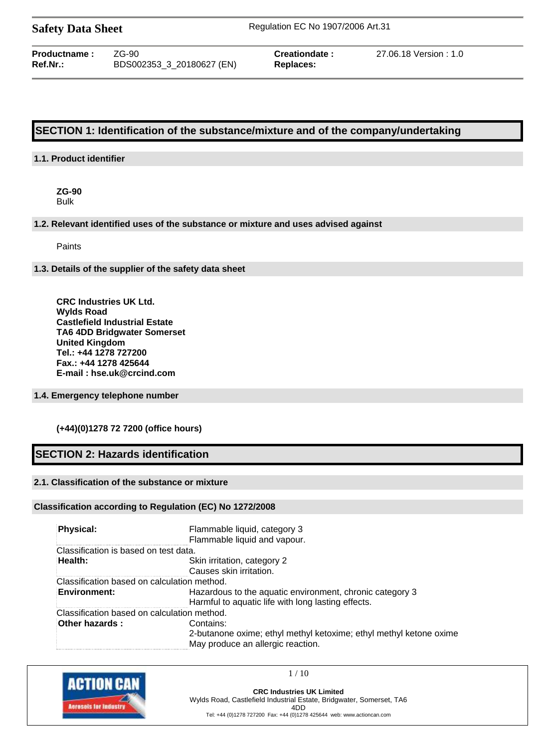**Productname :** ZG-90 **Creationdate :** 27.06.18 Version : 1.0 **Ref.Nr.:** BDS002353\_3\_20180627 (EN) **Replaces:**

# **SECTION 1: Identification of the substance/mixture and of the company/undertaking**

# **1.1. Product identifier**

**ZG-90** Bulk

#### **1.2. Relevant identified uses of the substance or mixture and uses advised against**

Paints

#### **1.3. Details of the supplier of the safety data sheet**

**CRC Industries UK Ltd. Wylds Road Castlefield Industrial Estate TA6 4DD Bridgwater Somerset United Kingdom Tel.: +44 1278 727200 Fax.: +44 1278 425644 E-mail : hse.uk@crcind.com**

## **1.4. Emergency telephone number**

## **(+44)(0)1278 72 7200 (office hours)**

# **SECTION 2: Hazards identification**

# **2.1. Classification of the substance or mixture**

#### **Classification according to Regulation (EC) No 1272/2008**

| Physical:                                   | Flammable liquid, category 3<br>Flammable liquid and vapour.                                                         |
|---------------------------------------------|----------------------------------------------------------------------------------------------------------------------|
| Classification is based on test data.       |                                                                                                                      |
| Health:                                     | Skin irritation, category 2<br>Causes skin irritation.                                                               |
| Classification based on calculation method. |                                                                                                                      |
| <b>Environment:</b>                         | Hazardous to the aquatic environment, chronic category 3<br>Harmful to aquatic life with long lasting effects.       |
| Classification based on calculation method. |                                                                                                                      |
| Other hazards:                              | Contains:<br>2-butanone oxime; ethyl methyl ketoxime; ethyl methyl ketone oxime<br>May produce an allergic reaction. |



1 / 10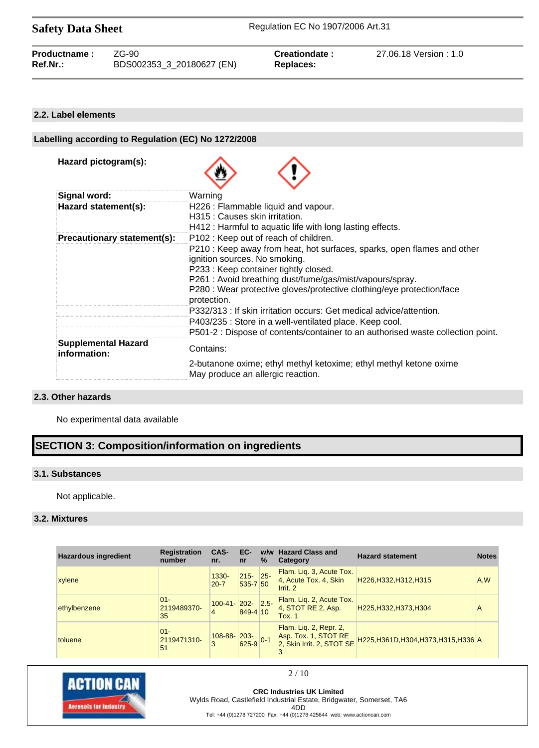| Productname:    | $ZG-90$                   | Creationdate: | 27.06.18 Version: 1.0 |
|-----------------|---------------------------|---------------|-----------------------|
| <b>Ref.Nr.:</b> | BDS002353_3_20180627 (EN) | Replaces:     |                       |

## **2.2. Label elements**

# **Labelling according to Regulation (EC) No 1272/2008 Hazard pictogram(s): Signal word:** Warning Hazard statement(s): H226 : Flammable liquid and vapour. H315 : Causes skin irritation. H412 : Harmful to aquatic life with long lasting effects. **Precautionary statement(s):** P102 : Keep out of reach of children. P210 : Keep away from heat, hot surfaces, sparks, open flames and other ignition sources. No smoking. P233 : Keep container tightly closed. P261 : Avoid breathing dust/fume/gas/mist/vapours/spray. P280 : Wear protective gloves/protective clothing/eye protection/face protection. P332/313 : If skin irritation occurs: Get medical advice/attention. P403/235 : Store in a well-ventilated place. Keep cool. P501-2 : Dispose of contents/container to an authorised waste collection point. **Supplemental Hazard information:** Contains: 2-butanone oxime; ethyl methyl ketoxime; ethyl methyl ketone oxime May produce an allergic reaction.

#### **2.3. Other hazards**

No experimental data available

# **SECTION 3: Composition/information on ingredients**

## **3.1. Substances**

Not applicable.

# **3.2. Mixtures**

| <b>Hazardous ingredient</b> | <b>Registration</b><br>number | CAS-<br>nr.             | EC-<br>nr               | %       | w/w Hazard Class and<br>Category                                            | <b>Hazard statement</b>               | <b>Notes</b> |
|-----------------------------|-------------------------------|-------------------------|-------------------------|---------|-----------------------------------------------------------------------------|---------------------------------------|--------------|
| xylene                      |                               | 1330-<br>$20 - 7$       | $215 -$<br>$535 - 7$ 50 | $25 -$  | Flam. Lig. 3, Acute Tox.<br>4, Acute Tox. 4, Skin<br>Irrit. 2               | H226, H332, H312, H315                | A,W          |
| ethylbenzene                | $01 -$<br>2119489370-<br>35   | $100-41$ - 202- 2.5-    | 849-4 10                |         | Flam. Lig. 2, Acute Tox.<br>$4$ , STOT RE 2, Asp.<br>Tox. 1                 | H225, H332, H373, H304                | А            |
| toluene                     | $01 -$<br>2119471310-<br>51   | $108 - 88 - 203 -$<br>3 | 625-9                   | $ 0-1 $ | Flam. Liq. 2, Repr. 2,<br>Asp. Tox. 1, STOT RE<br>2, Skin Irrit. 2, STOT SE | H225, H361D, H304, H373, H315, H336 A |              |



2 / 10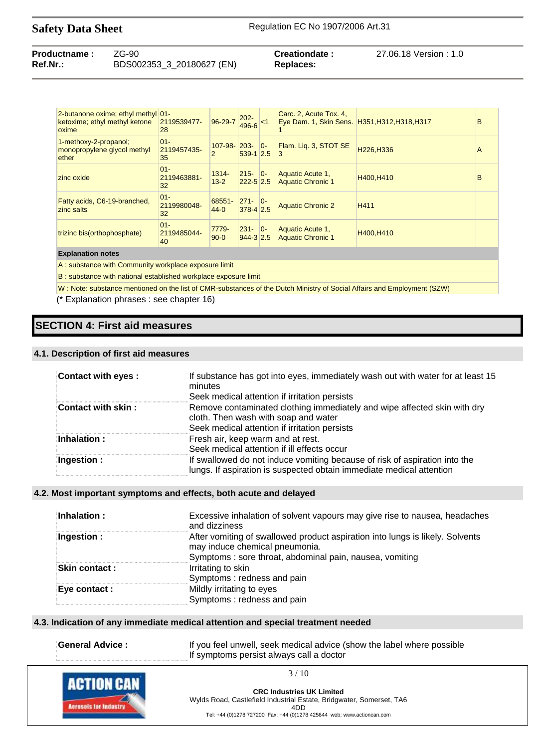| <b>Productname:</b> | $ZG-90$                   | Creationdate:    | 27.06.18 Version : 1.0 |
|---------------------|---------------------------|------------------|------------------------|
| Ref.Nr.:            | BDS002353_3_20180627 (EN) | <b>Replaces:</b> |                        |

| 2-butanone oxime; ethyl methyl 01-<br>ketoxime; ethyl methyl ketone<br>oxime | 2119539477-<br>28           | $96 - 29 - 7$     | $202 -$<br>$496 - 6$          | $<$ 1 | Carc. 2, Acute Tox. 4,<br>Eye Dam. 1, Skin Sens. H351, H312, H318, H317 |            | B |
|------------------------------------------------------------------------------|-----------------------------|-------------------|-------------------------------|-------|-------------------------------------------------------------------------|------------|---|
| 1-methoxy-2-propanol;<br>monopropylene glycol methyl<br>ether                | $01 -$<br>2119457435-<br>35 | 107-98-<br>2      | $203 -$<br>$539 - 12.5$       | $ 0-$ | Flam. Lig. 3, STOT SE<br>3                                              | H226, H336 | A |
| zinc oxide                                                                   | $01 -$<br>2119463881-<br>32 | 1314-<br>$13 - 2$ | $215 -$<br>$222 - 5$ 2.5      | $ 0-$ | Aquatic Acute 1,<br><b>Aquatic Chronic 1</b>                            | H400.H410  | B |
| Fatty acids, C6-19-branched,<br>zinc salts                                   | $01 -$<br>2119980048-<br>32 | 68551-<br>$44-0$  | $271 -$<br>$378 - 42.5$       | $ 0-$ | <b>Aquatic Chronic 2</b>                                                | H411       |   |
| trizinc bis(orthophosphate)                                                  | $01 -$<br>2119485044-<br>40 | 7779-<br>$90 - 0$ | $231 -$<br>$944 - 3 \mid 2.5$ | $ 0-$ | Aquatic Acute 1,<br><b>Aquatic Chronic 1</b>                            | H400, H410 |   |
| <b>Explanation notes</b>                                                     |                             |                   |                               |       |                                                                         |            |   |
| A: substance with Community workplace exposure limit                         |                             |                   |                               |       |                                                                         |            |   |

B : substance with national established workplace exposure limit

W : Note: substance mentioned on the list of CMR-substances of the Dutch Ministry of Social Affairs and Employment (SZW)

(\* Explanation phrases : see chapter 16)

# **SECTION 4: First aid measures**

#### **4.1. Description of first aid measures**

| <b>Contact with eyes:</b> | If substance has got into eyes, immediately wash out with water for at least 15<br>minutes<br>Seek medical attention if irritation persists                       |
|---------------------------|-------------------------------------------------------------------------------------------------------------------------------------------------------------------|
| <b>Contact with skin:</b> | Remove contaminated clothing immediately and wipe affected skin with dry<br>cloth. Then wash with soap and water<br>Seek medical attention if irritation persists |
| Inhalation:               | Fresh air, keep warm and at rest.<br>Seek medical attention if ill effects occur                                                                                  |
| Ingestion :               | If swallowed do not induce vomiting because of risk of aspiration into the<br>lungs. If aspiration is suspected obtain immediate medical attention                |

#### **4.2. Most important symptoms and effects, both acute and delayed**

| Inhalation:   | Excessive inhalation of solvent vapours may give rise to nausea, headaches<br>and dizziness                                                                                |
|---------------|----------------------------------------------------------------------------------------------------------------------------------------------------------------------------|
| Ingestion :   | After vomiting of swallowed product aspiration into lungs is likely. Solvents<br>may induce chemical pneumonia.<br>Symptoms: sore throat, abdominal pain, nausea, vomiting |
| Skin contact: | Irritating to skin<br>Symptoms: redness and pain                                                                                                                           |
| Eye contact : | Mildly irritating to eyes<br>Symptoms: redness and pain                                                                                                                    |

# **4.3. Indication of any immediate medical attention and special treatment needed**

General Advice : **If you feel unwell, seek medical advice (show the label where possible** If symptoms persist always call a doctor

3 / 10

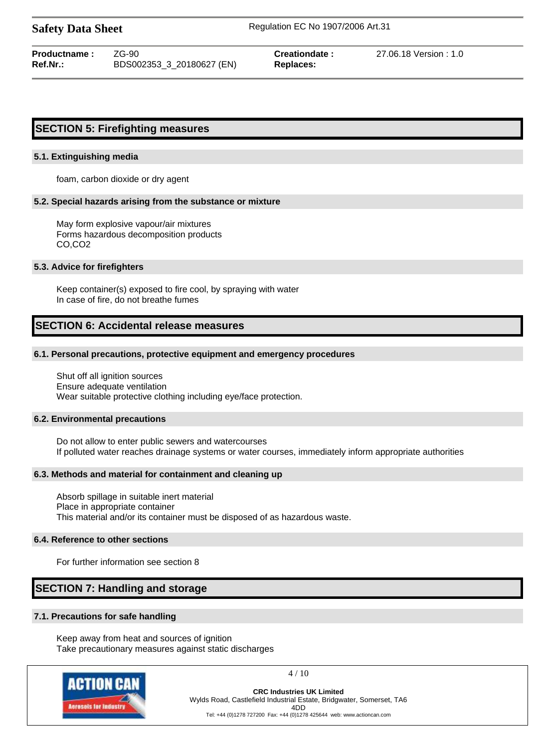| <b>Productname:</b> | ZG-90                     |
|---------------------|---------------------------|
| <b>Ref.Nr.:</b>     | BDS002353_3_20180627 (EN) |

 $Replaces:$ 

**Creationdate :** 27.06.18 Version : 1.0

# **SECTION 5: Firefighting measures**

#### **5.1. Extinguishing media**

foam, carbon dioxide or dry agent

#### **5.2. Special hazards arising from the substance or mixture**

May form explosive vapour/air mixtures Forms hazardous decomposition products CO,CO2

#### **5.3. Advice for firefighters**

Keep container(s) exposed to fire cool, by spraying with water In case of fire, do not breathe fumes

# **SECTION 6: Accidental release measures**

#### **6.1. Personal precautions, protective equipment and emergency procedures**

Shut off all ignition sources Ensure adequate ventilation Wear suitable protective clothing including eye/face protection.

#### **6.2. Environmental precautions**

Do not allow to enter public sewers and watercourses If polluted water reaches drainage systems or water courses, immediately inform appropriate authorities

#### **6.3. Methods and material for containment and cleaning up**

Absorb spillage in suitable inert material Place in appropriate container This material and/or its container must be disposed of as hazardous waste.

#### **6.4. Reference to other sections**

For further information see section 8

# **SECTION 7: Handling and storage**

# **7.1. Precautions for safe handling**

Keep away from heat and sources of ignition Take precautionary measures against static discharges



4 / 10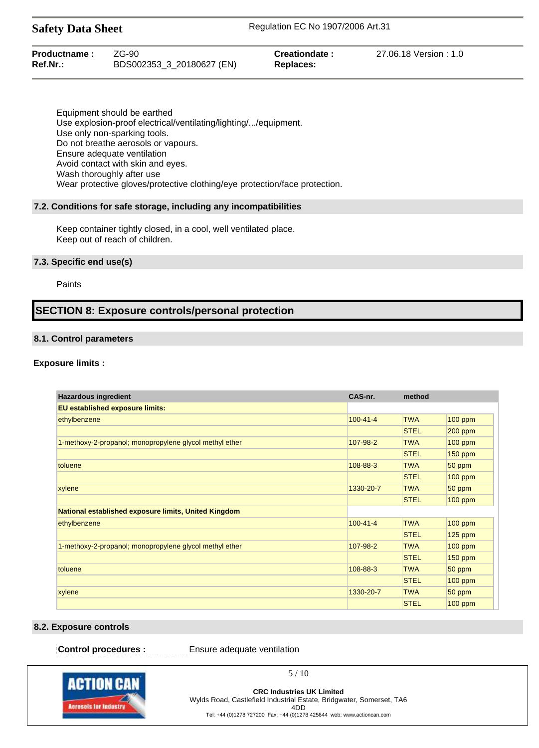| Productname: | $ZG-90$                   | Creationdate: | 27.06.18 Version: 1.0 |
|--------------|---------------------------|---------------|-----------------------|
| Ref.Nr.:     | BDS002353_3_20180627 (EN) | Replaces:     |                       |

Equipment should be earthed Use explosion-proof electrical/ventilating/lighting/.../equipment. Use only non-sparking tools. Do not breathe aerosols or vapours. Ensure adequate ventilation Avoid contact with skin and eyes. Wash thoroughly after use Wear protective gloves/protective clothing/eye protection/face protection.

#### **7.2. Conditions for safe storage, including any incompatibilities**

Keep container tightly closed, in a cool, well ventilated place. Keep out of reach of children.

#### **7.3. Specific end use(s)**

#### Paints

# **SECTION 8: Exposure controls/personal protection**

#### **8.1. Control parameters**

#### **Exposure limits :**

| <b>Hazardous ingredient</b>                             | CAS-nr.        | method      |                |
|---------------------------------------------------------|----------------|-------------|----------------|
| <b>EU established exposure limits:</b>                  |                |             |                |
| ethylbenzene                                            | $100 - 41 - 4$ | <b>TWA</b>  | $100$ ppm      |
|                                                         |                | <b>STEL</b> | $200$ ppm      |
| 1-methoxy-2-propanol; monopropylene glycol methyl ether | 107-98-2       | <b>TWA</b>  | $100$ ppm      |
|                                                         |                | <b>STEL</b> | $150$ ppm      |
| toluene                                                 | 108-88-3       | <b>TWA</b>  | 50 ppm         |
|                                                         |                | <b>STEL</b> | 100 ppm        |
| xylene                                                  | 1330-20-7      | <b>TWA</b>  | 50 ppm         |
|                                                         |                | <b>STEL</b> | $100$ ppm      |
| National established exposure limits, United Kingdom    |                |             |                |
| ethylbenzene                                            | $100 - 41 - 4$ | <b>TWA</b>  | $100$ ppm      |
|                                                         |                | <b>STEL</b> | $125$ ppm      |
| 1-methoxy-2-propanol; monopropylene glycol methyl ether | 107-98-2       | <b>TWA</b>  | $100$ ppm      |
|                                                         |                | <b>STEL</b> | $150$ ppm      |
| toluene                                                 | 108-88-3       | <b>TWA</b>  | 50 ppm         |
|                                                         |                | <b>STEL</b> | 100 ppm        |
| xylene                                                  | 1330-20-7      | <b>TWA</b>  | 50 ppm         |
|                                                         |                | <b>STEL</b> | <b>100 ppm</b> |

#### **8.2. Exposure controls**

**Control procedures :** Ensure adequate ventilation



**CRC Industries UK Limited** Wylds Road, Castlefield Industrial Estate, Bridgwater, Somerset, TA6 4DD Tel: +44 (0)1278 727200 Fax: +44 (0)1278 425644 web: www.actioncan.com

5 / 10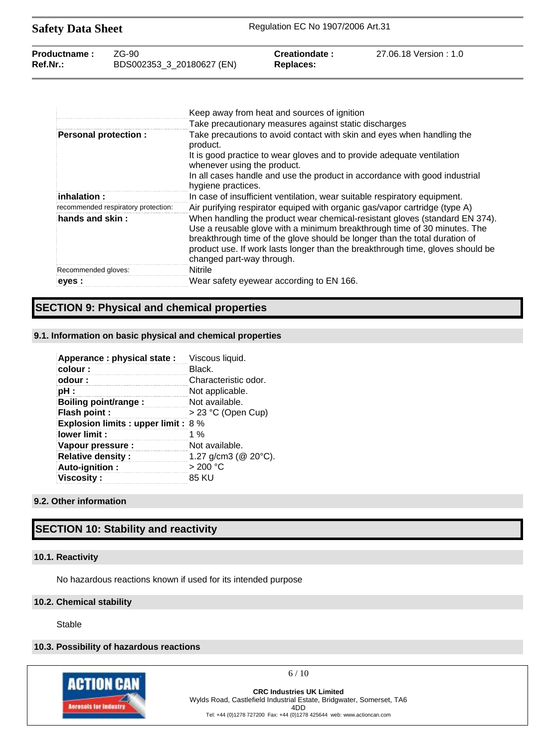| <b>Safety Data Sheet</b> |                           | Regulation EC No 1907/2006 Art.31 |                       |  |
|--------------------------|---------------------------|-----------------------------------|-----------------------|--|
| Productname:             | 7G-90.                    | Creationdate:                     | 27.06.18 Version: 1.0 |  |
| $Ref.Nr.$ :              | BDS002353_3_20180627 (EN) | <b>Replaces:</b>                  |                       |  |

|                                     | Keep away from heat and sources of ignition                                                                                                                                                                                                                                                                                                          |
|-------------------------------------|------------------------------------------------------------------------------------------------------------------------------------------------------------------------------------------------------------------------------------------------------------------------------------------------------------------------------------------------------|
|                                     | Take precautionary measures against static discharges                                                                                                                                                                                                                                                                                                |
| <b>Personal protection:</b>         | Take precautions to avoid contact with skin and eyes when handling the<br>product.                                                                                                                                                                                                                                                                   |
|                                     | It is good practice to wear gloves and to provide adequate ventilation<br>whenever using the product.                                                                                                                                                                                                                                                |
|                                     | In all cases handle and use the product in accordance with good industrial<br>hygiene practices.                                                                                                                                                                                                                                                     |
| $\,$ inhalation :                   | In case of insufficient ventilation, wear suitable respiratory equipment.                                                                                                                                                                                                                                                                            |
| recommended respiratory protection: | Air purifying respirator equiped with organic gas/vapor cartridge (type A)                                                                                                                                                                                                                                                                           |
| hands and skin:                     | When handling the product wear chemical-resistant gloves (standard EN 374).<br>Use a reusable glove with a minimum breakthrough time of 30 minutes. The<br>breakthrough time of the glove should be longer than the total duration of<br>product use. If work lasts longer than the breakthrough time, gloves should be<br>changed part-way through. |
| Recommended gloves:                 | <b>Nitrile</b>                                                                                                                                                                                                                                                                                                                                       |
| eves :                              | Wear safety eyewear according to EN 166.                                                                                                                                                                                                                                                                                                             |

# **SECTION 9: Physical and chemical properties**

# **9.1. Information on basic physical and chemical properties**

| Apperance : physical state :                | Viscous liquid.             |
|---------------------------------------------|-----------------------------|
| colour:                                     | Black.                      |
| odour:                                      | Characteristic odor.        |
| pH :                                        | Not applicable.             |
| Boiling point/range:                        | Not available.              |
| Flash point :                               | > 23 °C (Open Cup)          |
| <b>Explosion limits : upper limit : 8 %</b> |                             |
| lower limit:                                | 1 %                         |
| Vapour pressure :                           | Not available.              |
| <b>Relative density:</b>                    | 1.27 g/cm3 ( $@$ 20 $°C$ ). |
| Auto-ignition:                              | >200 °C                     |
| <b>Viscosity:</b>                           | 85 KU                       |

# **9.2. Other information**

# **SECTION 10: Stability and reactivity**

## **10.1. Reactivity**

No hazardous reactions known if used for its intended purpose

#### **10.2. Chemical stability**

Stable

# **10.3. Possibility of hazardous reactions**



 $6/10$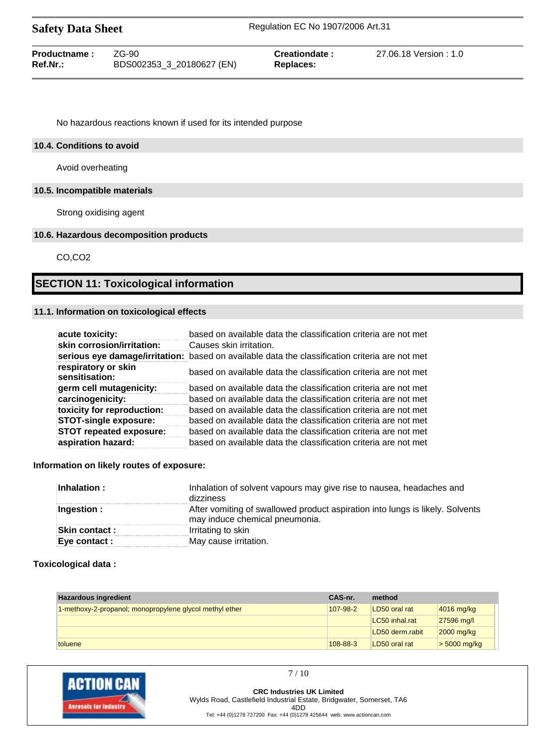| <b>Safety Data Sheet</b>    |                                     | Regulation EC No 1907/2006 Art.31 |                        |  |
|-----------------------------|-------------------------------------|-----------------------------------|------------------------|--|
| Productname:<br>$Ref.Nr.$ : | ZG-90.<br>BDS002353_3_20180627 (EN) | Creationdate:<br>Replaces:        | 27.06.18 Version : 1.0 |  |

No hazardous reactions known if used for its intended purpose

#### **10.4. Conditions to avoid**

Avoid overheating

# **10.5. Incompatible materials**

Strong oxidising agent

#### **10.6. Hazardous decomposition products**

CO,CO2

# **SECTION 11: Toxicological information**

# **11.1. Information on toxicological effects**

| acute toxicity:                       | based on available data the classification criteria are not met                                |
|---------------------------------------|------------------------------------------------------------------------------------------------|
| skin corrosion/irritation:            | Causes skin irritation.                                                                        |
|                                       | serious eye damage/irritation: based on available data the classification criteria are not met |
| respiratory or skin<br>sensitisation: | based on available data the classification criteria are not met                                |
| germ cell mutagenicity:               | based on available data the classification criteria are not met                                |
| carcinogenicity:                      | based on available data the classification criteria are not met                                |
| toxicity for reproduction:            | based on available data the classification criteria are not met                                |
| <b>STOT-single exposure:</b>          | based on available data the classification criteria are not met                                |
| <b>STOT repeated exposure:</b>        | based on available data the classification criteria are not met                                |
| aspiration hazard:                    | based on available data the classification criteria are not met                                |

#### **Information on likely routes of exposure:**

| Inhalation:          | Inhalation of solvent vapours may give rise to nausea, headaches and<br>dizziness                               |
|----------------------|-----------------------------------------------------------------------------------------------------------------|
| Ingestion:           | After vomiting of swallowed product aspiration into lungs is likely. Solvents<br>may induce chemical pneumonia. |
| <b>Skin contact:</b> | Irritating to skin                                                                                              |
| Eye contact :        | May cause irritation.                                                                                           |

#### **Toxicological data :**

| <b>Hazardous ingredient</b>                             | CAS-nr.  | method          |                        |
|---------------------------------------------------------|----------|-----------------|------------------------|
| 1-methoxy-2-propanol; monopropylene glycol methyl ether | 107-98-2 | LD50 oral rat   | $ 4016 \text{ mg/kg} $ |
|                                                         |          | LC50 inhal.rat  | $27596$ mg/l           |
|                                                         |          | LD50 derm.rabit | 2000 mg/kg             |
| toluene                                                 | 108-88-3 | LD50 oral rat   | $>$ 5000 mg/kg         |



**CRC Industries UK Limited** Wylds Road, Castlefield Industrial Estate, Bridgwater, Somerset, TA6 4DD Tel: +44 (0)1278 727200 Fax: +44 (0)1278 425644 web: www.actioncan.com

7 / 10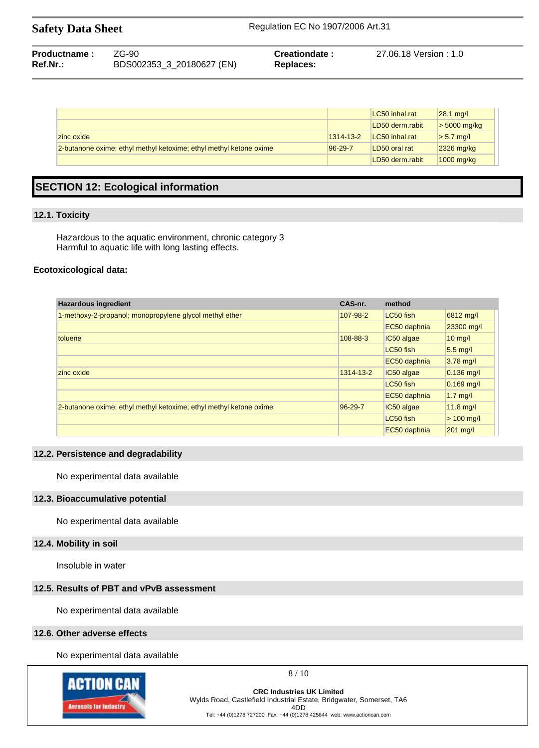| Productname: | ZG-90                     | Creationdate: | 27.06.18 Version : 1.0 |
|--------------|---------------------------|---------------|------------------------|
| Ref.Nr.:     | BDS002353 3 20180627 (EN) | Replaces:     |                        |

|                                                                    |               | LC50 inhal.rat  | $28.1 \text{ mq/l}$ |
|--------------------------------------------------------------------|---------------|-----------------|---------------------|
|                                                                    |               | LD50 derm.rabit | $>$ 5000 mg/kg      |
| zinc oxide                                                         | 1314-13-2     | LC50 inhal.rat  | $> 5.7$ mg/l        |
| 2-butanone oxime; ethyl methyl ketoxime; ethyl methyl ketone oxime | $96 - 29 - 7$ | LD50 oral rat   | $2326$ mg/kg        |
|                                                                    |               | LD50 derm.rabit | $1000$ mg/kg        |

# **SECTION 12: Ecological information**

## **12.1. Toxicity**

Hazardous to the aquatic environment, chronic category 3 Harmful to aquatic life with long lasting effects.

## **Ecotoxicological data:**

| <b>Hazardous ingredient</b>                                        | CAS-nr.   | method       |                    |
|--------------------------------------------------------------------|-----------|--------------|--------------------|
| 1-methoxy-2-propanol; monopropylene glycol methyl ether            | 107-98-2  | LC50 fish    | 6812 mg/l          |
|                                                                    |           | EC50 daphnia | 23300 mg/l         |
| toluene                                                            | 108-88-3  | IC50 algae   | $10 \text{ mg/l}$  |
|                                                                    |           | LC50 fish    | $5.5 \text{ mq}/I$ |
|                                                                    |           | EC50 daphnia | $3.78$ mg/l        |
| zinc oxide                                                         | 1314-13-2 | IC50 algae   | $ 0.136$ mg/l      |
|                                                                    |           | LC50 fish    | $0.169$ mg/l       |
|                                                                    |           | EC50 daphnia | $1.7$ mg/          |
| 2-butanone oxime; ethyl methyl ketoxime; ethyl methyl ketone oxime | 96-29-7   | IC50 algae   | $11.8$ mg/l        |
|                                                                    |           | LC50 fish    | $> 100$ mg/l       |
|                                                                    |           | EC50 daphnia | $201$ mg/l         |

## **12.2. Persistence and degradability**

No experimental data available

#### **12.3. Bioaccumulative potential**

No experimental data available

# **12.4. Mobility in soil**

Insoluble in water

## **12.5. Results of PBT and vPvB assessment**

No experimental data available

#### **12.6. Other adverse effects**

No experimental data available



8 / 10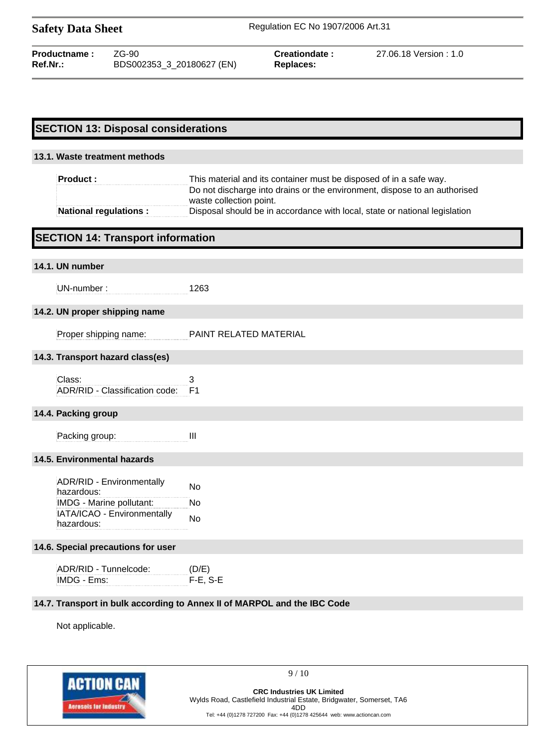06.18 Version : 1.0

# **SECTION 13: Disposal considerations**

# **13.1. Waste treatment methods**

| <b>Product:</b>              | This material and its container must be disposed of in a safe way.                                   |
|------------------------------|------------------------------------------------------------------------------------------------------|
|                              | Do not discharge into drains or the environment, dispose to an authorised<br>waste collection point. |
|                              |                                                                                                      |
| <b>National regulations:</b> | Disposal should be in accordance with local, state or national legislation                           |

# **SECTION 14: Transport information**

## **14.1. UN number**

UN-number : 1263

## **14.2. UN proper shipping name**

| Proper shipping name: | PAINT RELATED MATERIAL |
|-----------------------|------------------------|
|                       |                        |

## **14.3. Transport hazard class(es)**

Class: 3 ADR/RID - Classification code: F1

## **14.4. Packing group**

Packing group: III

## **14.5. Environmental hazards**

ADR/RID - Environmentally hazardous: No IMDG - Marine pollutant: No IATA/ICAO - Environmentally hazardous:<br>hazardous:

## **14.6. Special precautions for user**

| ADR/RID - Tunnelcode: | (D/E)    |
|-----------------------|----------|
| IMDG - Ems:           | F-E. S-E |

## **14.7. Transport in bulk according to Annex II of MARPOL and the IBC Code**

Not applicable.



9 / 10